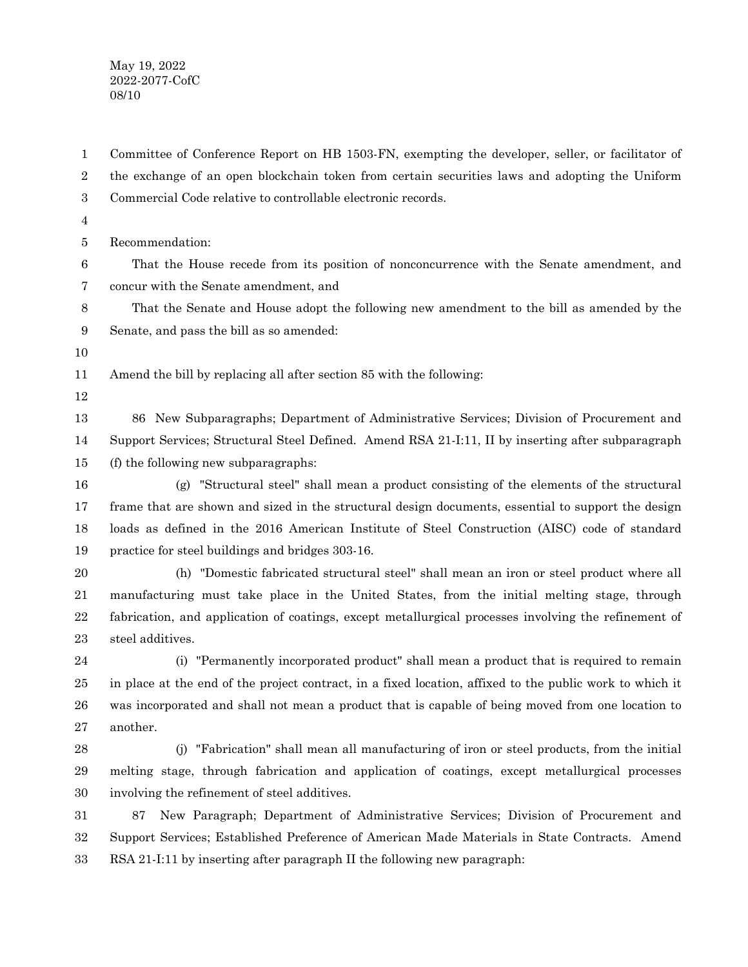May 19, 2022 2022-2077-CofC 08/10

Committee of Conference Report on HB 1503-FN, exempting the developer, seller, or facilitator of the exchange of an open blockchain token from certain securities laws and adopting the Uniform Commercial Code relative to controllable electronic records. 1 2 3

4

Recommendation: 5

That the House recede from its position of nonconcurrence with the Senate amendment, and concur with the Senate amendment, and 6 7

That the Senate and House adopt the following new amendment to the bill as amended by the Senate, and pass the bill as so amended: 8 9

10

Amend the bill by replacing all after section 85 with the following: 11

12

86 New Subparagraphs; Department of Administrative Services; Division of Procurement and Support Services; Structural Steel Defined. Amend RSA 21-I:11, II by inserting after subparagraph (f) the following new subparagraphs: 13 14 15

(g) "Structural steel" shall mean a product consisting of the elements of the structural frame that are shown and sized in the structural design documents, essential to support the design loads as defined in the 2016 American Institute of Steel Construction (AISC) code of standard practice for steel buildings and bridges 303-16. 16 17 18 19

(h) "Domestic fabricated structural steel" shall mean an iron or steel product where all manufacturing must take place in the United States, from the initial melting stage, through fabrication, and application of coatings, except metallurgical processes involving the refinement of steel additives. 20 21 22 23

(i) "Permanently incorporated product" shall mean a product that is required to remain in place at the end of the project contract, in a fixed location, affixed to the public work to which it was incorporated and shall not mean a product that is capable of being moved from one location to another. 24 25 26 27

(j) "Fabrication" shall mean all manufacturing of iron or steel products, from the initial melting stage, through fabrication and application of coatings, except metallurgical processes involving the refinement of steel additives. 28 29 30

87 New Paragraph; Department of Administrative Services; Division of Procurement and Support Services; Established Preference of American Made Materials in State Contracts. Amend RSA 21-I:11 by inserting after paragraph II the following new paragraph: 31 32 33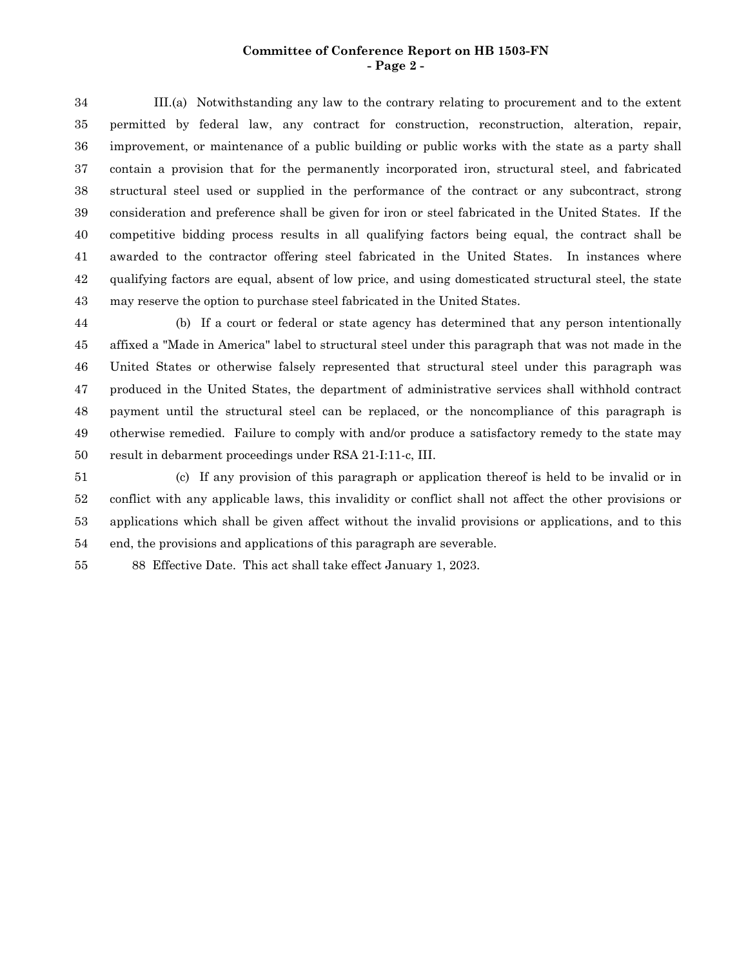## **Committee of Conference Report on HB 1503-FN - Page 2 -**

III.(a) Notwithstanding any law to the contrary relating to procurement and to the extent permitted by federal law, any contract for construction, reconstruction, alteration, repair, improvement, or maintenance of a public building or public works with the state as a party shall contain a provision that for the permanently incorporated iron, structural steel, and fabricated structural steel used or supplied in the performance of the contract or any subcontract, strong consideration and preference shall be given for iron or steel fabricated in the United States. If the competitive bidding process results in all qualifying factors being equal, the contract shall be awarded to the contractor offering steel fabricated in the United States. In instances where qualifying factors are equal, absent of low price, and using domesticated structural steel, the state may reserve the option to purchase steel fabricated in the United States. 34 35 36 37 38 39 40 41 42 43

(b) If a court or federal or state agency has determined that any person intentionally affixed a "Made in America" label to structural steel under this paragraph that was not made in the United States or otherwise falsely represented that structural steel under this paragraph was produced in the United States, the department of administrative services shall withhold contract payment until the structural steel can be replaced, or the noncompliance of this paragraph is otherwise remedied. Failure to comply with and/or produce a satisfactory remedy to the state may result in debarment proceedings under RSA 21-I:11-c, III. 44 45 46 47 48 49 50

(c) If any provision of this paragraph or application thereof is held to be invalid or in conflict with any applicable laws, this invalidity or conflict shall not affect the other provisions or applications which shall be given affect without the invalid provisions or applications, and to this end, the provisions and applications of this paragraph are severable. 51 52 53 54

88 Effective Date. This act shall take effect January 1, 2023. 55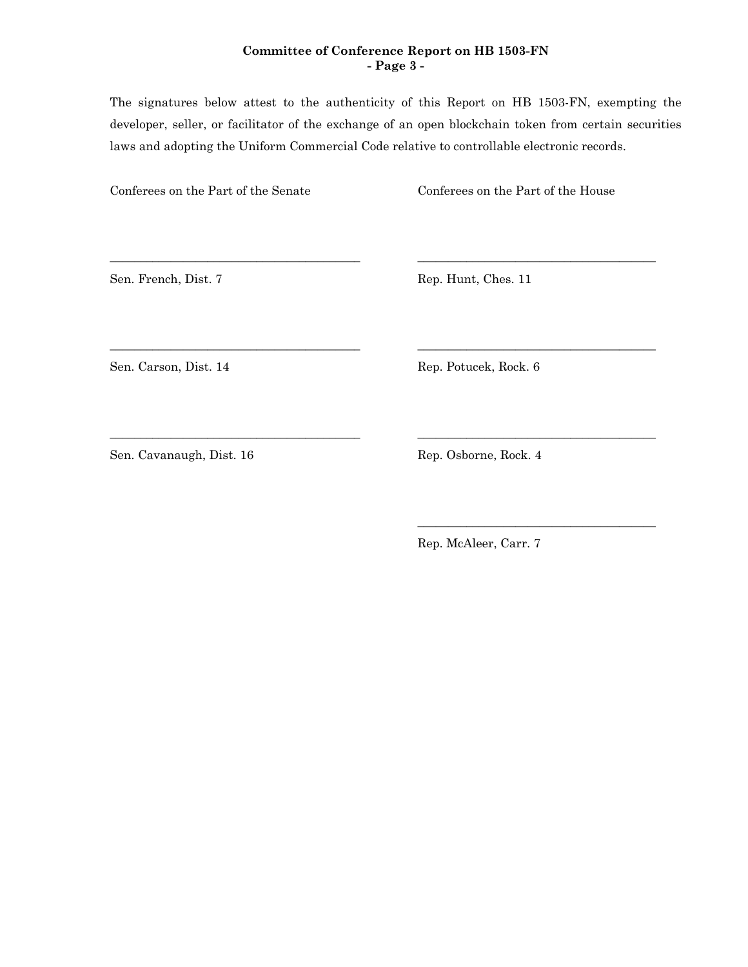## **Committee of Conference Report on HB 1503-FN - Page 3 -**

The signatures below attest to the authenticity of this Report on HB 1503-FN, exempting the developer, seller, or facilitator of the exchange of an open blockchain token from certain securities laws and adopting the Uniform Commercial Code relative to controllable electronic records.

\_\_\_\_\_\_\_\_\_\_\_\_\_\_\_\_\_\_\_\_\_\_\_\_\_\_\_\_\_\_\_\_\_\_\_\_\_\_\_\_\_ \_\_\_\_\_\_\_\_\_\_\_\_\_\_\_\_\_\_\_\_\_\_\_\_\_\_\_\_\_\_\_\_\_\_\_\_\_\_\_

\_\_\_\_\_\_\_\_\_\_\_\_\_\_\_\_\_\_\_\_\_\_\_\_\_\_\_\_\_\_\_\_\_\_\_\_\_\_\_\_\_ \_\_\_\_\_\_\_\_\_\_\_\_\_\_\_\_\_\_\_\_\_\_\_\_\_\_\_\_\_\_\_\_\_\_\_\_\_\_\_

\_\_\_\_\_\_\_\_\_\_\_\_\_\_\_\_\_\_\_\_\_\_\_\_\_\_\_\_\_\_\_\_\_\_\_\_\_\_\_\_\_ \_\_\_\_\_\_\_\_\_\_\_\_\_\_\_\_\_\_\_\_\_\_\_\_\_\_\_\_\_\_\_\_\_\_\_\_\_\_\_

Conferees on the Part of the Senate Conferees on the Part of the House

Sen. French, Dist. 7 Rep. Hunt, Ches. 11

Sen. Carson, Dist. 14 Rep. Potucek, Rock. 6

Sen. Cavanaugh, Dist. 16 Rep. Osborne, Rock. 4

Rep. McAleer, Carr. 7

\_\_\_\_\_\_\_\_\_\_\_\_\_\_\_\_\_\_\_\_\_\_\_\_\_\_\_\_\_\_\_\_\_\_\_\_\_\_\_